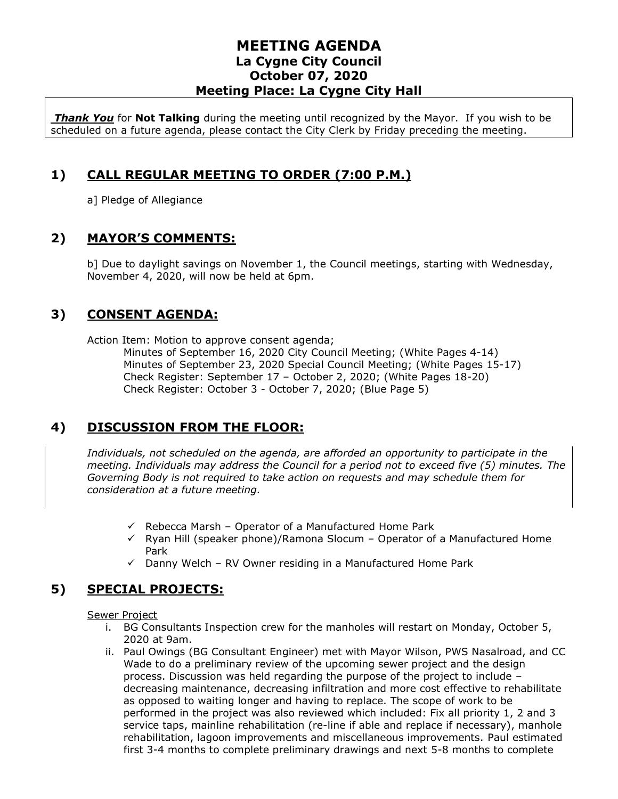*Thank You* for **Not Talking** during the meeting until recognized by the Mayor. If you wish to be scheduled on a future agenda, please contact the City Clerk by Friday preceding the meeting.

# **1) CALL REGULAR MEETING TO ORDER (7:00 P.M.)**

a] Pledge of Allegiance

#### **2) MAYOR'S COMMENTS:**

b] Due to daylight savings on November 1, the Council meetings, starting with Wednesday, November 4, 2020, will now be held at 6pm.

## **3) CONSENT AGENDA:**

Action Item: Motion to approve consent agenda;

Minutes of September 16, 2020 City Council Meeting; (White Pages 4-14) Minutes of September 23, 2020 Special Council Meeting; (White Pages 15-17) Check Register: September 17 – October 2, 2020; (White Pages 18-20) Check Register: October 3 - October 7, 2020; (Blue Page 5)

# **4) DISCUSSION FROM THE FLOOR:**

*Individuals, not scheduled on the agenda, are afforded an opportunity to participate in the meeting. Individuals may address the Council for a period not to exceed five (5) minutes. The Governing Body is not required to take action on requests and may schedule them for consideration at a future meeting.* 

- $\checkmark$  Rebecca Marsh Operator of a Manufactured Home Park
- $\checkmark$  Ryan Hill (speaker phone)/Ramona Slocum Operator of a Manufactured Home Park
- $\checkmark$  Danny Welch RV Owner residing in a Manufactured Home Park

# **5) SPECIAL PROJECTS:**

Sewer Project

- i. BG Consultants Inspection crew for the manholes will restart on Monday, October 5, 2020 at 9am.
- ii. Paul Owings (BG Consultant Engineer) met with Mayor Wilson, PWS Nasalroad, and CC Wade to do a preliminary review of the upcoming sewer project and the design process. Discussion was held regarding the purpose of the project to include – decreasing maintenance, decreasing infiltration and more cost effective to rehabilitate as opposed to waiting longer and having to replace. The scope of work to be performed in the project was also reviewed which included: Fix all priority 1, 2 and 3 service taps, mainline rehabilitation (re-line if able and replace if necessary), manhole rehabilitation, lagoon improvements and miscellaneous improvements. Paul estimated first 3-4 months to complete preliminary drawings and next 5-8 months to complete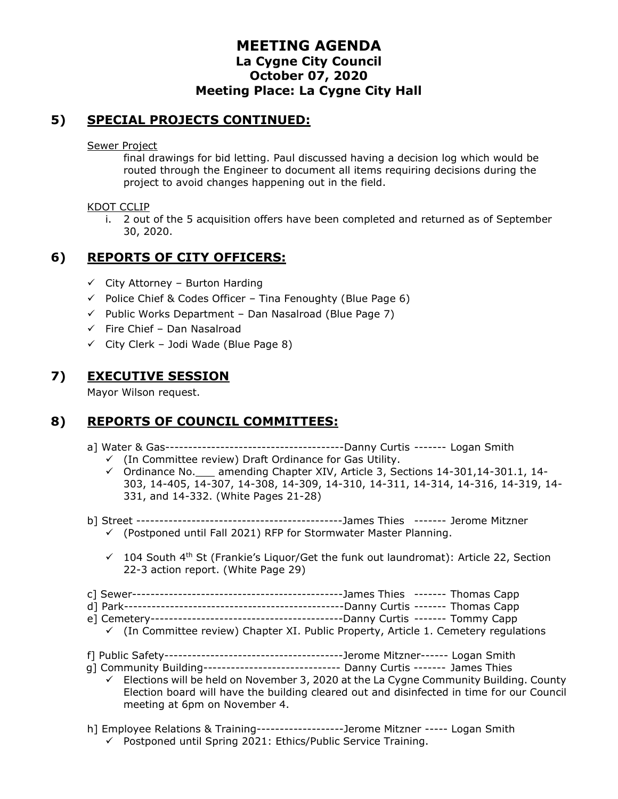## **5) SPECIAL PROJECTS CONTINUED:**

Sewer Project

final drawings for bid letting. Paul discussed having a decision log which would be routed through the Engineer to document all items requiring decisions during the project to avoid changes happening out in the field.

#### KDOT CCLIP

i. 2 out of the 5 acquisition offers have been completed and returned as of September 30, 2020.

# **6) REPORTS OF CITY OFFICERS:**

- $\checkmark$  City Attorney Burton Harding
- $\checkmark$  Police Chief & Codes Officer Tina Fenoughty (Blue Page 6)
- $\checkmark$  Public Works Department Dan Nasalroad (Blue Page 7)
- $\checkmark$  Fire Chief Dan Nasalroad
- $\checkmark$  City Clerk Jodi Wade (Blue Page 8)

## **7) EXECUTIVE SESSION**

Mayor Wilson request.

# **8) REPORTS OF COUNCIL COMMITTEES:**

- a] Water & Gas---------------------------------------Danny Curtis ------- Logan Smith
	- ✓ (In Committee review) Draft Ordinance for Gas Utility.
	- ✓ Ordinance No.\_\_\_ amending Chapter XIV, Article 3, Sections 14-301,14-301.1, 14- 303, 14-405, 14-307, 14-308, 14-309, 14-310, 14-311, 14-314, 14-316, 14-319, 14- 331, and 14-332. (White Pages 21-28)
- b] Street ---------------------------------------------James Thies ------- Jerome Mitzner ✓ (Postponed until Fall 2021) RFP for Stormwater Master Planning.
	- $\checkmark$  104 South 4<sup>th</sup> St (Frankie's Liquor/Get the funk out laundromat): Article 22, Section 22-3 action report. (White Page 29)
- c] Sewer----------------------------------------------James Thies ------- Thomas Capp
- d] Park------------------------------------------------Danny Curtis ------- Thomas Capp
- e] Cemetery------------------------------------------Danny Curtis ------- Tommy Capp
- $\checkmark$  (In Committee review) Chapter XI. Public Property, Article 1. Cemetery regulations
- f] Public Safety---------------------------------------Jerome Mitzner------ Logan Smith
- g] Community Building------------------------------ Danny Curtis ------- James Thies
	- $\checkmark$  Elections will be held on November 3, 2020 at the La Cygne Community Building. County Election board will have the building cleared out and disinfected in time for our Council meeting at 6pm on November 4.
- h] Employee Relations & Training-------------------Jerome Mitzner ----- Logan Smith
	- ✓ Postponed until Spring 2021: Ethics/Public Service Training.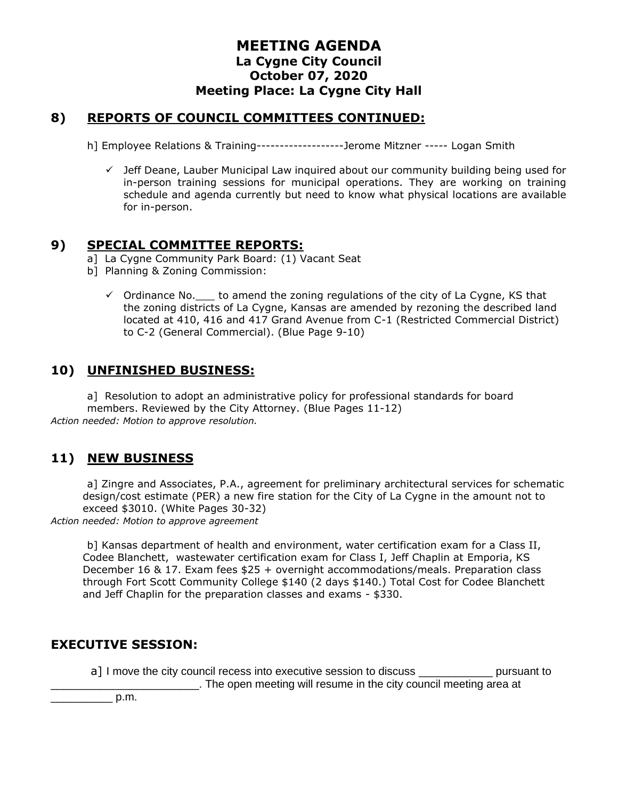#### **8) REPORTS OF COUNCIL COMMITTEES CONTINUED:**

h] Employee Relations & Training-------------------Jerome Mitzner ----- Logan Smith

 $\checkmark$  Jeff Deane, Lauber Municipal Law inquired about our community building being used for in-person training sessions for municipal operations. They are working on training schedule and agenda currently but need to know what physical locations are available for in-person.

## **9) SPECIAL COMMITTEE REPORTS:**

- a] La Cygne Community Park Board: (1) Vacant Seat
- b] Planning & Zoning Commission:
	- $\checkmark$  Ordinance No. to amend the zoning regulations of the city of La Cygne, KS that the zoning districts of La Cygne, Kansas are amended by rezoning the described land located at 410, 416 and 417 Grand Avenue from C-1 (Restricted Commercial District) to C-2 (General Commercial). (Blue Page 9-10)

#### **10) UNFINISHED BUSINESS:**

a] Resolution to adopt an administrative policy for professional standards for board members. Reviewed by the City Attorney. (Blue Pages 11-12) *Action needed: Motion to approve resolution.*

#### **11) NEW BUSINESS**

a] Zingre and Associates, P.A., agreement for preliminary architectural services for schematic design/cost estimate (PER) a new fire station for the City of La Cygne in the amount not to exceed \$3010. (White Pages 30-32)

*Action needed: Motion to approve agreement*

b] Kansas department of health and environment, water certification exam for a Class II, Codee Blanchett, wastewater certification exam for Class I, Jeff Chaplin at Emporia, KS December 16 & 17. Exam fees \$25 + overnight accommodations/meals. Preparation class through Fort Scott Community College \$140 (2 days \$140.) Total Cost for Codee Blanchett and Jeff Chaplin for the preparation classes and exams - \$330.

#### **EXECUTIVE SESSION:**

a] I move the city council recess into executive session to discuss \_\_\_\_\_\_\_\_\_\_\_\_ pursuant to \_\_\_\_\_\_\_\_\_\_\_\_\_\_\_\_\_\_\_\_\_\_\_\_. The open meeting will resume in the city council meeting area at

 $p.m.$